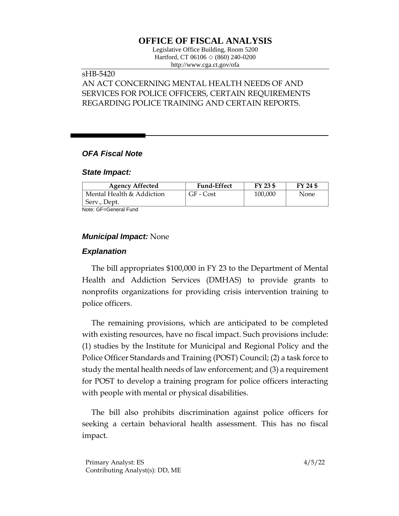# **OFFICE OF FISCAL ANALYSIS**

Legislative Office Building, Room 5200 Hartford, CT 06106  $\Diamond$  (860) 240-0200 http://www.cga.ct.gov/ofa

## sHB-5420

# AN ACT CONCERNING MENTAL HEALTH NEEDS OF AND SERVICES FOR POLICE OFFICERS, CERTAIN REQUIREMENTS REGARDING POLICE TRAINING AND CERTAIN REPORTS.

## *OFA Fiscal Note*

### *State Impact:*

| <b>Agency Affected</b>    | <b>Fund-Effect</b> | FY 23 \$ | FY 24 \$ |
|---------------------------|--------------------|----------|----------|
| Mental Health & Addiction | GF - Cost          | 100.000  | None     |
| Serv., Dept.              |                    |          |          |

Note: GF=General Fund

## *Municipal Impact:* None

## *Explanation*

The bill appropriates \$100,000 in FY 23 to the Department of Mental Health and Addiction Services (DMHAS) to provide grants to nonprofits organizations for providing crisis intervention training to police officers.

The remaining provisions, which are anticipated to be completed with existing resources, have no fiscal impact. Such provisions include: (1) studies by the Institute for Municipal and Regional Policy and the Police Officer Standards and Training (POST) Council; (2) a task force to study the mental health needs of law enforcement; and (3) a requirement for POST to develop a training program for police officers interacting with people with mental or physical disabilities.

The bill also prohibits discrimination against police officers for seeking a certain behavioral health assessment. This has no fiscal impact.